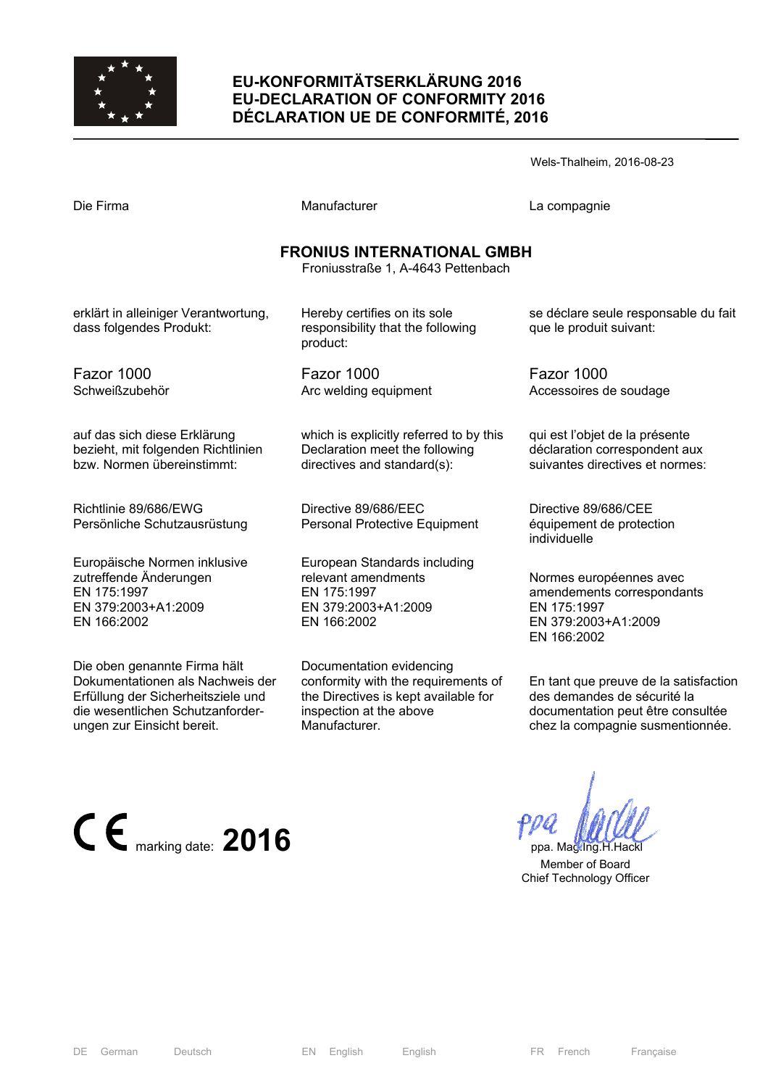

# **EU-KONFORMITÄTSERKLÄRUNG 2016 EU-DECLARATION OF CONFORMITY 2016 DÉCLARATION UE DE CONFORMITÉ, 2016**

| Wels-Thalheim, 2016-08-23 |  |
|---------------------------|--|
|---------------------------|--|

| Die Firma                                                                                                   | Manufacturer                                                                                             | La compagnie                                                                                               |  |  |
|-------------------------------------------------------------------------------------------------------------|----------------------------------------------------------------------------------------------------------|------------------------------------------------------------------------------------------------------------|--|--|
| <b>FRONIUS INTERNATIONAL GMBH</b><br>Froniusstraße 1, A-4643 Pettenbach                                     |                                                                                                          |                                                                                                            |  |  |
| erklärt in alleiniger Verantwortung,<br>dass folgendes Produkt:                                             | Hereby certifies on its sole<br>responsibility that the following<br>product:                            | se déclare seule responsable du fait<br>que le produit suivant:                                            |  |  |
| Fazor 1000<br>Schweißzubehör                                                                                | Fazor 1000<br>Arc welding equipment                                                                      | Fazor 1000<br>Accessoires de soudage                                                                       |  |  |
| auf das sich diese Erklärung<br>bezieht, mit folgenden Richtlinien<br>bzw. Normen übereinstimmt:            | which is explicitly referred to by this<br>Declaration meet the following<br>directives and standard(s): | qui est l'objet de la présente<br>déclaration correspondent aux<br>suivantes directives et normes:         |  |  |
| Richtlinie 89/686/EWG<br>Persönliche Schutzausrüstung                                                       | Directive 89/686/EEC<br>Personal Protective Equipment                                                    | Directive 89/686/CEE<br>équipement de protection<br>individuelle                                           |  |  |
| Europäische Normen inklusive<br>zutreffende Änderungen<br>EN 175:1997<br>EN 379:2003+A1:2009<br>EN 166:2002 | European Standards including<br>relevant amendments<br>EN 175:1997<br>EN 379:2003+A1:2009<br>EN 166:2002 | Normes européennes avec<br>amendements correspondants<br>EN 175:1997<br>EN 379:2003+A1:2009<br>EN 166:2002 |  |  |

Die oben genannte Firma hält Dokumentationen als Nachweis der Erfüllung der Sicherheitsziele und die wesentlichen Schutzanforderungen zur Einsicht bereit.

Documentation evidencing conformity with the requirements of the Directives is kept available for inspection at the above Manufacturer.

En tant que preuve de la satisfaction des demandes de sécurité la documentation peut être consultée

chez la compagnie susmentionnée.

 $\epsilon$  marking date: **2016 ppa.** Mag.Ing.H.Hackle

 Member of Board Chief Technology Officer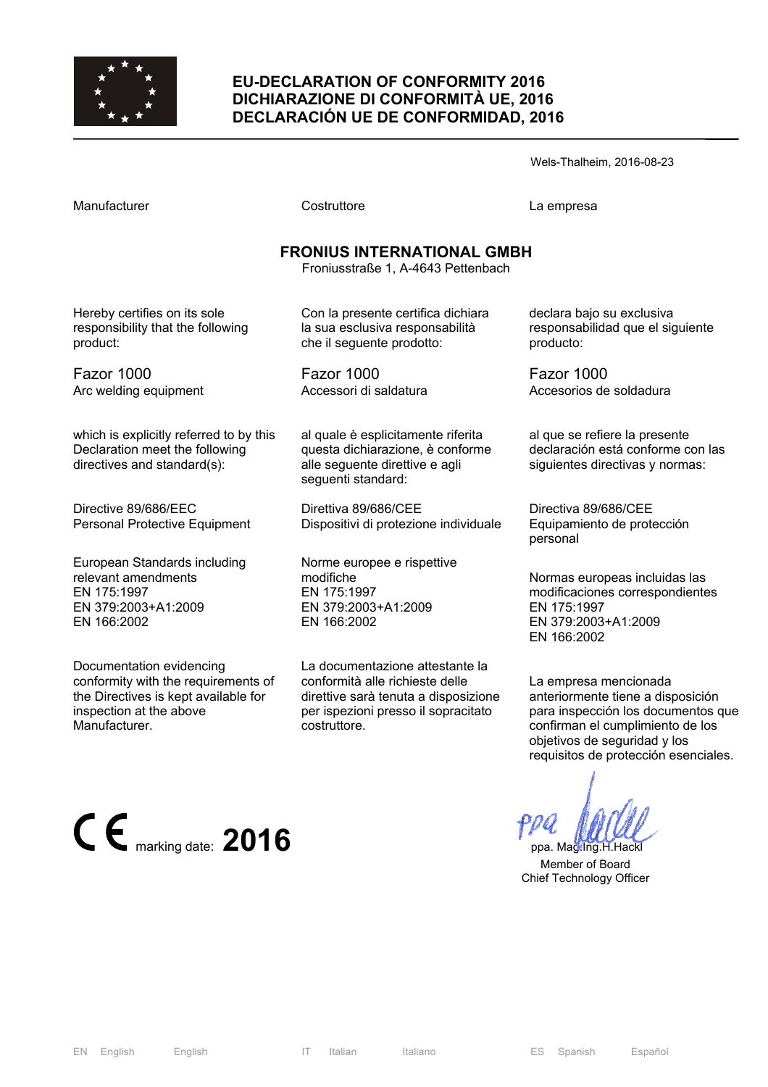

### **EU-DECLARATION OF CONFORMITY 2016 DICHIARAZIONE DI CONFORMITÀ UE, 2016 DECLARACIÓN UE DE CONFORMIDAD, 2016**

Wels-Thalheim, 2016-08-23

Manufacturer Costruttore La empresa

# **FRONIUS INTERNATIONAL GMBH**

Froniusstraße 1, A-4643 Pettenbach

Hereby certifies on its sole responsibility that the following product:

Fazor 1000 Arc welding equipment

which is explicitly referred to by this Declaration meet the following directives and standard(s):

Directive 89/686/EEC Personal Protective Equipment

European Standards including relevant amendments EN 175:1997 EN 379:2003+A1:2009 EN 166:2002

Documentation evidencing conformity with the requirements of the Directives is kept available for inspection at the above Manufacturer.

Con la presente certifica dichiara la sua esclusiva responsabilità che il seguente prodotto:

Fazor 1000 Accessori di saldatura

al quale è esplicitamente riferita questa dichiarazione, è conforme alle seguente direttive e agli seguenti standard:

Direttiva 89/686/CEE Dispositivi di protezione individuale

Norme europee e rispettive modifiche EN 175:1997 EN 379:2003+A1:2009 EN 166:2002

La documentazione attestante la conformità alle richieste delle direttive sarà tenuta a disposizione per ispezioni presso il sopracitato costruttore.

declara bajo su exclusiva responsabilidad que el siguiente producto:

Fazor 1000 Accesorios de soldadura

al que se refiere la presente declaración está conforme con las siguientes directivas y normas:

Directiva 89/686/CEE Equipamiento de protección personal

Normas europeas incluidas las modificaciones correspondientes EN 175:1997 EN 379:2003+A1:2009 EN 166:2002

La empresa mencionada anteriormente tiene a disposición para inspección los documentos que confirman el cumplimiento de los objetivos de seguridad y los requisitos de protección esenciales.

 Member of Board Chief Technology Officer

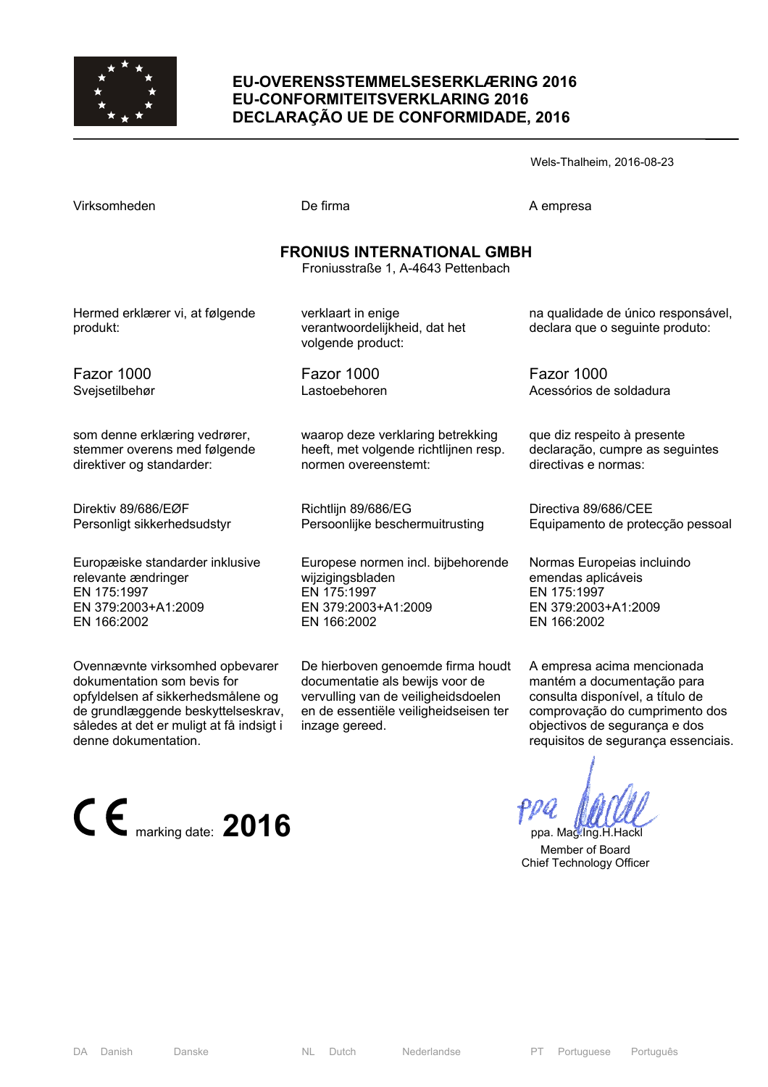

### **EU-OVERENSSTEMMELSESERKLÆRING 2016 EU-CONFORMITEITSVERKLARING 2016 DECLARAÇÃO UE DE CONFORMIDADE, 2016**

Wels-Thalheim, 2016-08-23

| Virksomheden |  |
|--------------|--|
|--------------|--|

De firma A empresa

#### **FRONIUS INTERNATIONAL GMBH**

Froniusstraße 1, A-4643 Pettenbach

Hermed erklærer vi, at følgende produkt:

Fazor 1000

Svejsetilbehør

som denne erklæring vedrører, stemmer overens med følgende direktiver og standarder:

Direktiv 89/686/EØF Personligt sikkerhedsudstyr

Europæiske standarder inklusive relevante ændringer EN 175:1997 EN 379:2003+A1:2009 EN 166:2002

Ovennævnte virksomhed opbevarer dokumentation som bevis for opfyldelsen af sikkerhedsmålene og de grundlæggende beskyttelseskrav, således at det er muligt at få indsigt i denne dokumentation.

 $\epsilon$  marking date: **2016 ppa.** Mag.Ing.H.Hackless Mag.Ing.H.Hackless Mag.Ing.H.Hackless Mag.Ing.H.Hackless Mag.Ing.H.Hackless Mag.Ing.H.Hackless Mag.Ing.H.Hackless Mag.Ing.H.Hackless Mag.Ing.H.Hackless Mag.Ing.H.Hackles

verklaart in enige verantwoordelijkheid, dat het volgende product:

Fazor 1000 Lastoebehoren

waarop deze verklaring betrekking heeft, met volgende richtlijnen resp. normen overeenstemt:

Richtlijn 89/686/EG Persoonlijke beschermuitrusting

Europese normen incl. bijbehorende wijzigingsbladen EN 175:1997 EN 379:2003+A1:2009 EN 166:2002

De hierboven genoemde firma houdt documentatie als bewijs voor de vervulling van de veiligheidsdoelen en de essentiële veiligheidseisen ter inzage gereed.

na qualidade de único responsável, declara que o seguinte produto:

Fazor 1000 Acessórios de soldadura

que diz respeito à presente declaração, cumpre as seguintes directivas e normas:

Directiva 89/686/CEE Equipamento de protecção pessoal

Normas Europeias incluindo emendas aplicáveis EN 175:1997 EN 379:2003+A1:2009 EN 166:2002

A empresa acima mencionada mantém a documentação para consulta disponível, a título de comprovação do cumprimento dos objectivos de segurança e dos requisitos de segurança essenciais.

 Member of Board Chief Technology Officer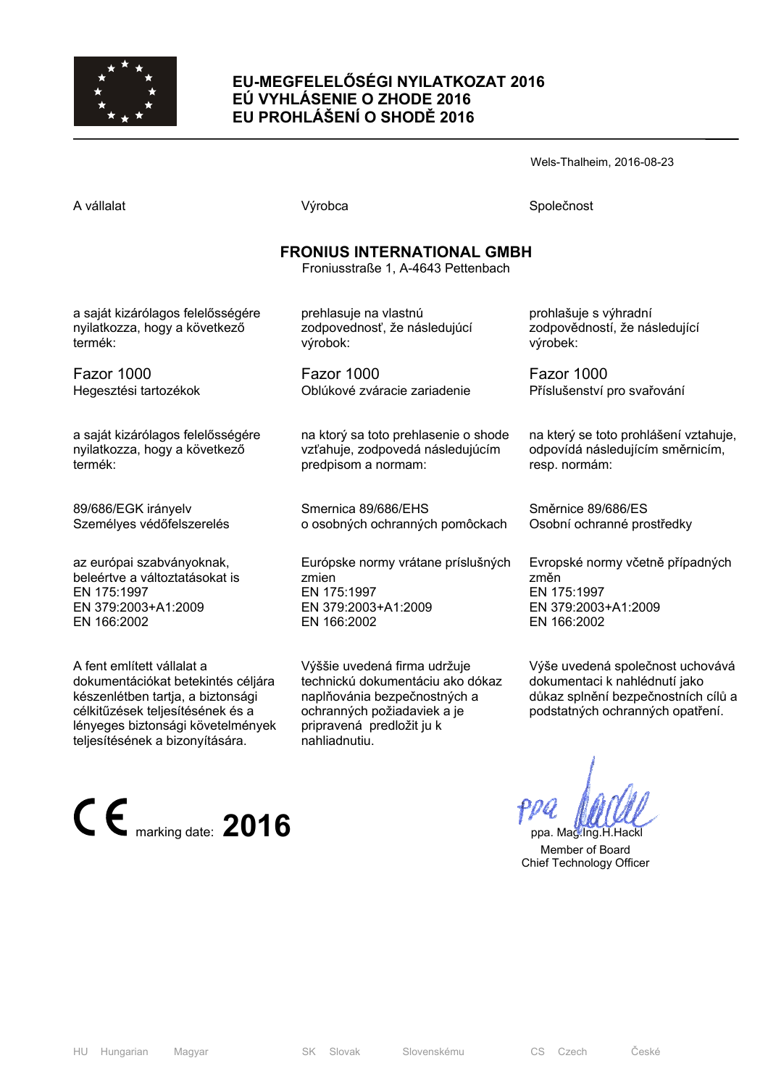

# **EU-MEGFELELŐSÉGI NYILATKOZAT 2016 EÚ VYHLÁSENIE O ZHODE 2016 EU PROHLÁŠENÍ O SHODĚ 2016**

Wels-Thalheim, 2016-08-23

prohlašuje s výhradní

výrobek:

Fazor 1000

resp. normám:

změn

EN 175:1997

EN 166:2002

Směrnice 89/686/ES

EN 379:2003+A1:2009

Osobní ochranné prostředky

zodpovědností, že následující

Příslušenství pro svařování

na který se toto prohlášení vztahuje, odpovídá následujícím směrnicím,

Evropské normy včetně případných

Výše uvedená společnost uchovává dokumentaci k nahlédnutí jako důkaz splnění bezpečnostních cílů a podstatných ochranných opatření.

A vállalat Společnost Nýrobca Společnost Společnost Společnost Společnost Společnost Společnost Společnost Společnost Společnost Společnost Společnost Společnost Společnost Společnost Společnost Společnost Společnost Spole

# **FRONIUS INTERNATIONAL GMBH**

Froniusstraße 1, A-4643 Pettenbach

a saját kizárólagos felelősségére nyilatkozza, hogy a következő termék:

Fazor 1000 Hegesztési tartozékok

a saját kizárólagos felelősségére nyilatkozza, hogy a következő termék:

89/686/EGK irányelv Személyes védőfelszerelés

az európai szabványoknak, beleértve a változtatásokat is EN 175:1997 EN 379:2003+A1:2009 EN 166:2002

A fent említett vállalat a dokumentációkat betekintés céljára készenlétben tartja, a biztonsági célkitűzések teljesítésének és a lényeges biztonsági követelmények teljesítésének a bizonyítására.

 $\mathsf{C}\ \mathsf{E}$ <sub>marking date:</sub> 2016 *ppa. Mag.Ing.H.Hackley* 

prehlasuje na vlastnú zodpovednosť, že následujúcí výrobok:

Fazor 1000 Oblúkové zváracie zariadenie

na ktorý sa toto prehlasenie o shode vzťahuje, zodpovedá následujúcím predpisom a normam:

Smernica 89/686/EHS o osobných ochranných pomôckach

Európske normy vrátane príslušných zmien EN 175:1997 EN 379:2003+A1:2009 EN 166:2002

Výššie uvedená firma udržuje technickú dokumentáciu ako dókaz naplňovánia bezpečnostných a ochranných požiadaviek a je pripravená predložit ju k nahliadnutiu.

 Member of Board Chief Technology Officer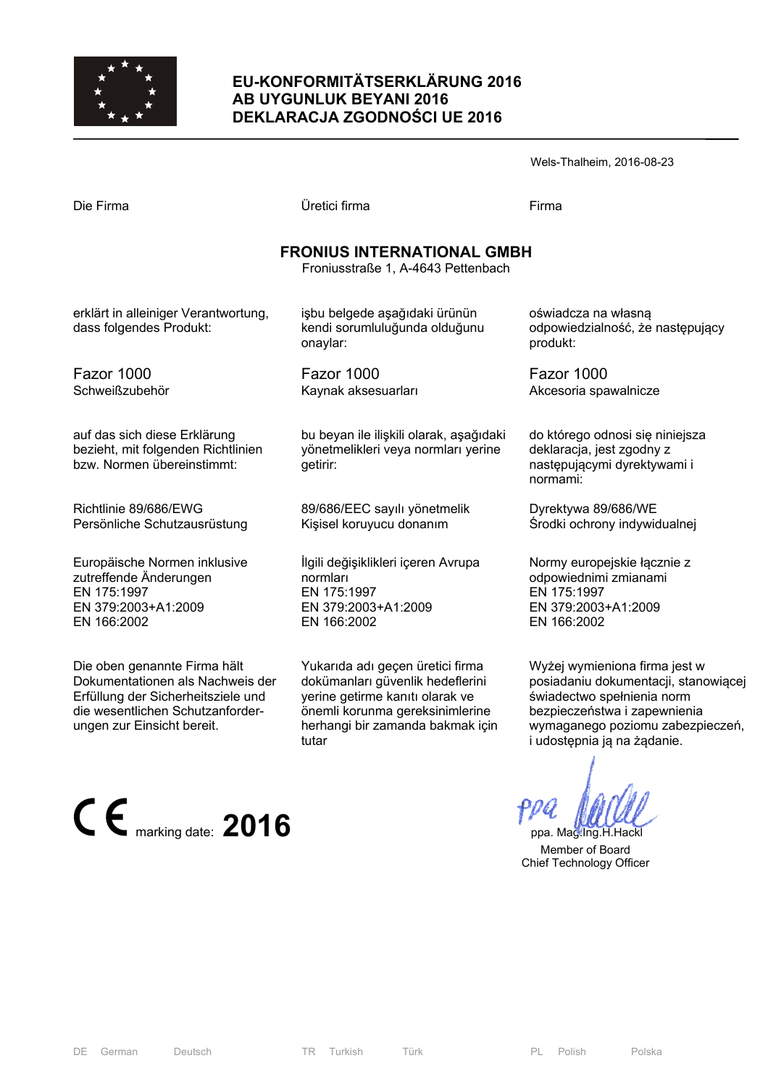

# **EU-KONFORMITÄTSERKLÄRUNG 2016 AB UYGUNLUK BEYANI 2016 DEKLARACJA ZGODNOŚCI UE 2016**

| Wels-Thalheim, 2016-08-23 |  |
|---------------------------|--|
|---------------------------|--|

| Die Firma                                                                                                   | Üretici firma                                                                                        | Firma                                                                                                     |  |  |
|-------------------------------------------------------------------------------------------------------------|------------------------------------------------------------------------------------------------------|-----------------------------------------------------------------------------------------------------------|--|--|
| <b>FRONIUS INTERNATIONAL GMBH</b><br>Froniusstraße 1, A-4643 Pettenbach                                     |                                                                                                      |                                                                                                           |  |  |
| erklärt in alleiniger Verantwortung,<br>dass folgendes Produkt:                                             | işbu belgede aşağıdaki ürünün<br>kendi sorumluluğunda olduğunu<br>onaylar:                           | oświadcza na własną<br>odpowiedzialność, że następujący<br>produkt:                                       |  |  |
| Fazor 1000<br>Schweißzubehör                                                                                | Fazor 1000<br>Kaynak aksesuarları                                                                    | Fazor 1000<br>Akcesoria spawalnicze                                                                       |  |  |
| auf das sich diese Erklärung<br>bezieht, mit folgenden Richtlinien<br>bzw. Normen übereinstimmt:            | bu beyan ile ilişkili olarak, aşağıdaki<br>yönetmelikleri veya normları yerine<br>getirir:           | do którego odnosi się niniejsza<br>deklaracja, jest zgodny z<br>następującymi dyrektywami i<br>normami:   |  |  |
| Richtlinie 89/686/EWG<br>Persönliche Schutzausrüstung                                                       | 89/686/EEC sayılı yönetmelik<br>Kişisel koruyucu donanım                                             | Dyrektywa 89/686/WE<br>Środki ochrony indywidualnej                                                       |  |  |
| Europäische Normen inklusive<br>zutreffende Änderungen<br>EN 175:1997<br>EN 379:2003+A1:2009<br>EN 166:2002 | İlgili değişiklikleri içeren Avrupa<br>normları<br>EN 175:1997<br>EN 379:2003+A1:2009<br>EN 166:2002 | Normy europejskie łącznie z<br>odpowiednimi zmianami<br>EN 175:1997<br>EN 379:2003+A1:2009<br>EN 166:2002 |  |  |
|                                                                                                             | $\mathcal{L}$ , and the contract of $\mathcal{L}$                                                    | $\cdots$ $\cdots$                                                                                         |  |  |

Die oben genannte Firma hält Dokumentationen als Nachweis der Erfüllung der Sicherheitsziele und die wesentlichen Schutzanforderungen zur Einsicht bereit.

E marking date: **2016** PPU ppa. Mag.Ing.H.Hack

Yukarıda adı geçen üretici firma dokümanları güvenlik hedeflerini yerine getirme kanıtı olarak ve önemli korunma gereksinimlerine herhangi bir zamanda bakmak için tutar

Wyżej wymieniona firma jest w posiadaniu dokumentacji, stanowiącej świadectwo spełnienia norm bezpieczeństwa i zapewnienia wymaganego poziomu zabezpieczeń, i udostępnia ją na żądanie.

 Member of Board Chief Technology Officer